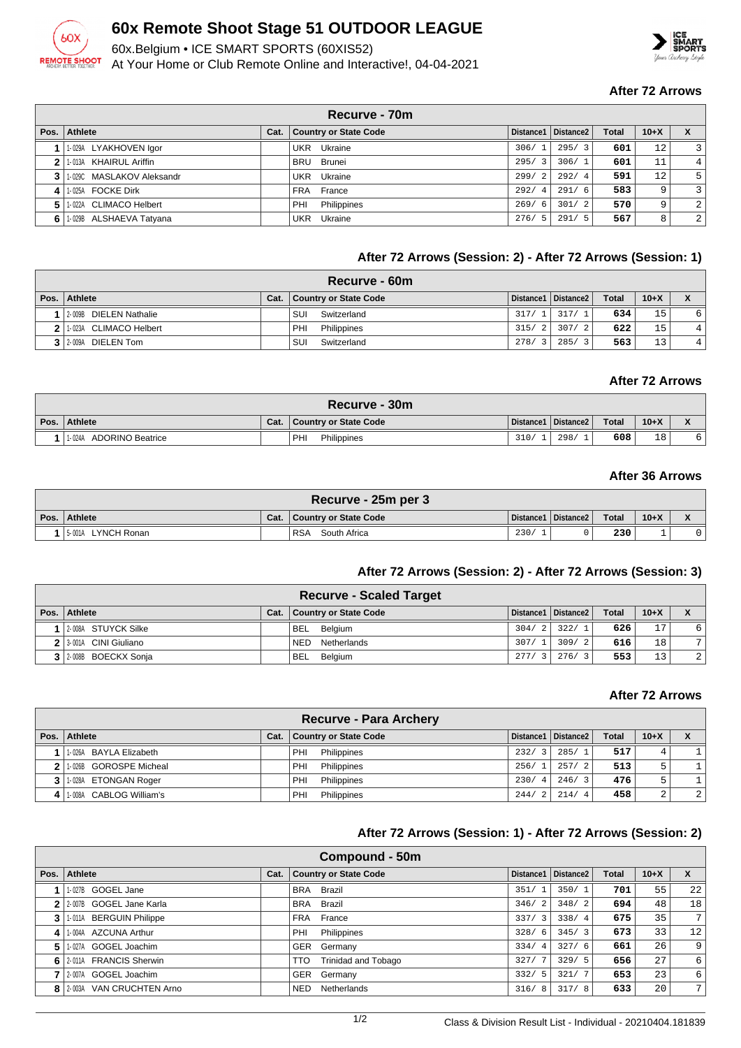

# **60x Remote Shoot Stage 51 OUTDOOR LEAGUE**

60x.Belgium • ICE SMART SPORTS (60XIS52) At Your Home or Club Remote Online and Interactive!, 04-04-2021



#### **After 72 Arrows**

|   | Recurve - 70m             |      |                       |                        |                       |              |              |   |  |  |
|---|---------------------------|------|-----------------------|------------------------|-----------------------|--------------|--------------|---|--|--|
|   | Pos. Athlete              | Cat. | Country or State Code |                        | Distance1   Distance2 | <b>Total</b> | $10+X$       |   |  |  |
|   | 1-029A LYAKHOVEN Igor     |      | UKR Ukraine           | 306/1                  | 295/3                 | 601          | $12^{\circ}$ | 3 |  |  |
|   | 1-013A KHAIRUL Ariffin    |      | BRU Brunei            | 295/<br>$\overline{3}$ | 306/1                 | 601          | 11           | 4 |  |  |
|   | 1-029C MASLAKOV Aleksandr |      | UKR Ukraine           | 299/<br>$\overline{2}$ | 292/4                 | 591          | 12           | 5 |  |  |
| 4 | 1-025A FOCKE Dirk         |      | FRA France            | 292/<br>$\overline{4}$ | 291/6                 | 583          | 9            | 3 |  |  |
|   | 1-022A CLIMACO Helbert    |      | Philippines<br>PHI    | 269/<br>- 6            | 301/2                 | 570          | 9            | 2 |  |  |
|   | 6 1.029B ALSHAEVA Tatyana |      | UKR Ukraine           | 276/5                  | 291/5                 | 567          | 8            | 2 |  |  |

## **After 72 Arrows (Session: 2) - After 72 Arrows (Session: 1)**

| Recurve - 60m          |      |                              |                        |                       |              |        |  |  |  |
|------------------------|------|------------------------------|------------------------|-----------------------|--------------|--------|--|--|--|
| Pos. Athlete           | Cat. | <b>Country or State Code</b> |                        | Distance1   Distance2 | <b>Total</b> | $10+X$ |  |  |  |
| 2-009B DIELEN Nathalie |      | Switzerland<br>SUI           | 317/1                  | 317/1                 | 634          | 15     |  |  |  |
| 1-023A CLIMACO Helbert |      | PHI<br>Philippines           | 315/<br>2 <sub>1</sub> | 307/2                 | 622          | 15     |  |  |  |
| 3 2-009A DIELEN Tom    |      | SUI<br>Switzerland           | 278/<br>3              | 285/<br>$\mathbf{z}$  | 563          | 13     |  |  |  |

## **After 72 Arrows**

| Recurve - 30m              |      |                       |      |                       |              |        |                                                        |  |  |
|----------------------------|------|-----------------------|------|-----------------------|--------------|--------|--------------------------------------------------------|--|--|
| Pos. Athlete               | Cat. | Country or State Code |      | Distance1   Distance2 | <b>Total</b> | $10+X$ | $\overline{\phantom{a}}$<br>$\boldsymbol{\mathcal{L}}$ |  |  |
| ADORINO Beatrice<br>1-024A |      | PHI<br>Philippines    | 310/ | 298/                  | 608          | 18     | 6                                                      |  |  |

## **After 36 Arrows**

| Recurve - 25m per 3 |      |                            |      |                       |              |        |  |  |  |  |
|---------------------|------|----------------------------|------|-----------------------|--------------|--------|--|--|--|--|
| Pos. Athlete        | Cat. | Country or State Code      |      | Distance1   Distance2 | <b>Total</b> | $10+X$ |  |  |  |  |
| 5-001A LYNCH Ronan  |      | <b>RSA</b><br>South Africa | 230/ |                       | 230          |        |  |  |  |  |

## **After 72 Arrows (Session: 2) - After 72 Arrows (Session: 3)**

| <b>Recurve - Scaled Target</b> |      |                           |       |                       |       |        |                |  |  |
|--------------------------------|------|---------------------------|-------|-----------------------|-------|--------|----------------|--|--|
| Pos. Athlete                   | Cat. | Country or State Code     |       | Distance1   Distance2 | Total | $10+X$ |                |  |  |
| 2-008A STUYCK Silke            |      | BEL Belgium               |       | $304/2$ 322/1         | 626   | 17     | 6              |  |  |
| 2 3-001A CINI Giuliano         |      | Netherlands<br><b>NED</b> | 307/1 | 309/2                 | 616   | 18     | 7              |  |  |
| 3 2-008B BOECKX Sonja          |      | <b>BEL</b><br>Belgium     | 277/3 | $'$ 276/3             | 553   | 13     | $\overline{2}$ |  |  |

#### **After 72 Arrows**

|                | <b>Recurve - Para Archery</b> |      |                              |       |                       |              |          |                |  |  |
|----------------|-------------------------------|------|------------------------------|-------|-----------------------|--------------|----------|----------------|--|--|
|                | Pos.   Athlete                | Cat. | <b>Country or State Code</b> |       | Distance1   Distance2 | <b>Total</b> | $10 + X$ | X              |  |  |
|                | 1-026A BAYLA Elizabeth        |      | PHI<br>Philippines           | 232/3 | 285/1                 | 517          | 4        |                |  |  |
| 2 <sup>1</sup> | 1.026B GOROSPE Micheal        |      | Philippines<br>PHI           | 256/1 | 257/2                 | 5131         | ל        |                |  |  |
|                | 1-028A ETONGAN Roger          |      | Philippines<br>PHI           | 230/4 | 246/3                 | 476          | 5        |                |  |  |
| $\mathbf{A}$   | 1.008A CABLOG William's       |      | Philippines<br>PHI           | 244/2 | 214/4                 | 458          | 2        | $\overline{2}$ |  |  |

## **After 72 Arrows (Session: 1) - After 72 Arrows (Session: 2)**

|      | Compound - 50m            |      |                                   |                        |                       |              |        |    |  |  |  |
|------|---------------------------|------|-----------------------------------|------------------------|-----------------------|--------------|--------|----|--|--|--|
| Pos. | Athlete                   | Cat. | <b>Country or State Code</b>      | Distance1              | Distance <sub>2</sub> | <b>Total</b> | $10+X$ | X  |  |  |  |
|      | 1-027B GOGEL Jane         |      | Brazil<br><b>BRA</b>              | 351/                   | 350/1                 | 701          | 55     | 22 |  |  |  |
|      | 2 2-007B GOGEL Jane Karla |      | Brazil<br><b>BRA</b>              | 346/2                  | 348/2                 | 694          | 48     | 18 |  |  |  |
| 3    | 1-011A BERGUIN Philippe   |      | France<br>FRA                     | $\overline{3}$<br>337/ | 338/4                 | 675          | 35     | 7  |  |  |  |
| 4    | 1-004A AZCUNA Arthur      |      | Philippines<br>PHI                | 328/6                  | 345/3                 | 673          | 33     | 12 |  |  |  |
| 5.   | 1-027A GOGEL Joachim      |      | GER Germany                       | 334/<br>$\overline{4}$ | 327/6                 | 661          | 26     | 9  |  |  |  |
| 6 I  | 2-011A FRANCIS Sherwin    |      | Trinidad and Tobago<br><b>TTO</b> | $\overline{7}$<br>327/ | 329/5                 | 656          | 27     | 6  |  |  |  |
|      | 2-007A GOGEL Joachim      |      | GER Germany                       | 332/<br>.5             | 321/7                 | 653          | 23     | 6  |  |  |  |
|      | 8 2003A VAN CRUCHTEN Arno |      | Netherlands<br>NED                | 316/<br>8              | 317/8                 | 633          | 20     | 7  |  |  |  |